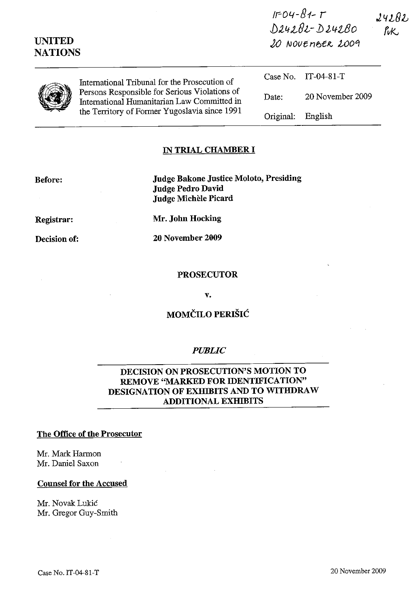| <b>UNITED</b><br><b>NATIONS</b> |                                                                                                                                               | $D24282 - D24280$<br>20 NOVEMBER 2009 |                     | PuK. |
|---------------------------------|-----------------------------------------------------------------------------------------------------------------------------------------------|---------------------------------------|---------------------|------|
|                                 | International Tribunal for the Prosecution of                                                                                                 |                                       | Case No. IT-04-81-T |      |
|                                 | Persons Responsible for Serious Violations of<br>International Humanitarian Law Committed in<br>the Territory of Former Yugoslavia since 1991 | Date:                                 | 20 November 2009    |      |
|                                 |                                                                                                                                               | Original:                             | English             |      |

 $IF-04 - 81 - T$ 

 $242R2$ 

#### IN TRIAL CHAMBER **I**

Before: Judge Bakone Justice Moloto, Presiding Judge Pedro David Judge Michèle Picard

Registrar:

Decision of:

Mr. John Hocking

20 November 2009

### PROSECUTOR

v.

# MOMČILO PERIŠIĆ

#### *PUBLIC*

## DECISION ON PROSECUTION'S MOTION TO REMOVE "MARKED FOR IDENTIFICATION" DESIGNATION OF EXHIBITS AND TO WITHDRAW ADDITIONAL EXHIBITS

#### The Office of the Prosecutor

Mr. Mark Harmon Mr. Daniel Saxon

#### Counsel for the Accused

Mr. Novak Lukic Mr. Gregor Guy-Smith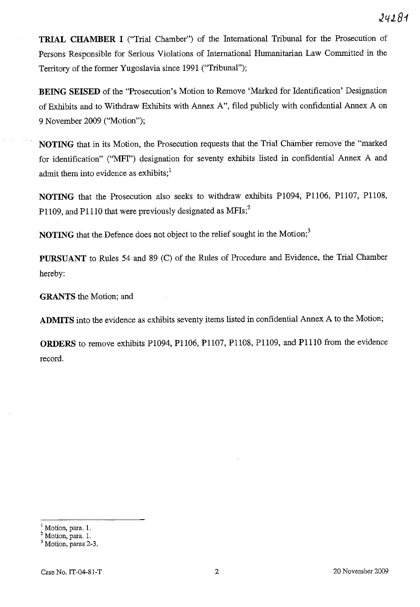**TRIAL CHAMBER I** ("Trial Chamber") of the International Tribunal for the Prosecution of Persons Responsible for Serious Violations of International Humanitarian Law Committed in the Territory of the fonner Yugoslavia since 1991 ("Tribunal");

**BEING SEISED** of the "Prosecution's Motion to Remove 'Marked for Identification' Designation of Exhibits and to Withdraw Exhibits with Annex A", filed publicly with confidential Annex A on 9 November 2009 ("Motion");

**NOTING** that in its Motion, the Prosecution requests that the Trial Chamber remove the "marked" for identification" ("MFI") designation for seventy exhibits listed in confidential Annex A and admit them into evidence as exhibits; $<sup>1</sup>$ </sup>

**NOTING** that the Prosecution also seeks to withdraw exhibits P1094, Pll06, Pll07, Pll08, P1109, and P1110 that were previously designated as  $MFS$ ;<sup>2</sup>

**NOTING** that the Defence does not object to the relief sought in the Motion;<sup>3</sup>

**PURSUANT** to Rules 54 and 89 (C) of the Rules of Procedure and Evidence, the Trial Chamber hereby:

**GRANTS** the Motion; and

**ADMITS** into the evidence as exhibits seventy items listed in confidential Annex A to the Motion;

**ORDERS** to remove exhibits P1094, Pll06, Pll07, Pll08, P1109, and PlllO from the evidence record.

 $<sup>1</sup>$  Motion, para. 1.</sup>

 $2$  Motion, para. 1.

<sup>&</sup>lt;sup>3</sup> Motion, paras 2-3.